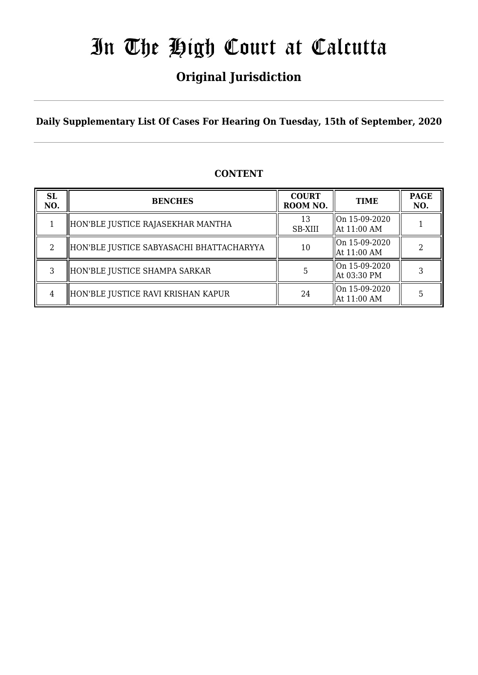# **Original Jurisdiction**

**Daily Supplementary List Of Cases For Hearing On Tuesday, 15th of September, 2020**

## **CONTENT**

| <b>SL</b><br>NO. | <b>BENCHES</b>                           | <b>COURT</b><br>ROOM NO. | <b>TIME</b>                          | <b>PAGE</b><br>NO. |
|------------------|------------------------------------------|--------------------------|--------------------------------------|--------------------|
|                  | HON'BLE JUSTICE RAJASEKHAR MANTHA        | 13<br>SB-XIII            | On 15-09-2020<br>$\vert$ At 11:00 AM |                    |
|                  | HON'BLE JUSTICE SABYASACHI BHATTACHARYYA | 10                       | On 15-09-2020<br>At 11:00 AM         |                    |
|                  | HON'BLE JUSTICE SHAMPA SARKAR            |                          | On 15-09-2020<br>At 03:30 PM         |                    |
| 4                | HON'BLE JUSTICE RAVI KRISHAN KAPUR       | 24                       | On 15-09-2020<br>At 11:00 AM         |                    |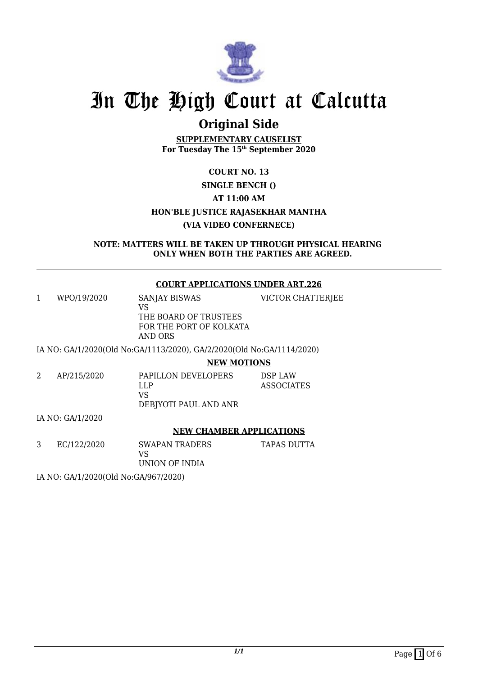

# **Original Side**

**SUPPLEMENTARY CAUSELIST For Tuesday The 15th September 2020**

## **COURT NO. 13 SINGLE BENCH () AT 11:00 AM HON'BLE JUSTICE RAJASEKHAR MANTHA (VIA VIDEO CONFERNECE)**

**NOTE: MATTERS WILL BE TAKEN UP THROUGH PHYSICAL HEARING ONLY WHEN BOTH THE PARTIES ARE AGREED.**

## **COURT APPLICATIONS UNDER ART.226**

1 WPO/19/2020 SANJAY BISWAS VS THE BOARD OF TRUSTEES FOR THE PORT OF KOLKATA AND ORS VICTOR CHATTERJEE

IA NO: GA/1/2020(Old No:GA/1113/2020), GA/2/2020(Old No:GA/1114/2020)

**NEW MOTIONS**

2 AP/215/2020 PAPILLON DEVELOPERS LLP VS DEBJYOTI PAUL AND ANR DSP LAW ASSOCIATES

IA NO: GA/1/2020

## **NEW CHAMBER APPLICATIONS**

3 EC/122/2020 SWAPAN TRADERS VS

TAPAS DUTTA

UNION OF INDIA

IA NO: GA/1/2020(Old No:GA/967/2020)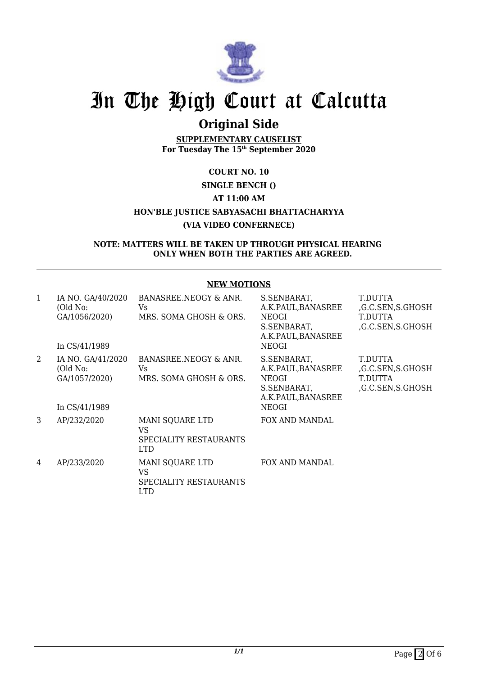

# **Original Side**

**SUPPLEMENTARY CAUSELIST For Tuesday The 15th September 2020**

# **COURT NO. 10**

## **SINGLE BENCH ()**

## **AT 11:00 AM**

## **HON'BLE JUSTICE SABYASACHI BHATTACHARYYA**

## **(VIA VIDEO CONFERNECE)**

#### **NOTE: MATTERS WILL BE TAKEN UP THROUGH PHYSICAL HEARING ONLY WHEN BOTH THE PARTIES ARE AGREED.**

| <b>NEW MOTIONS</b> |                                                                 |                                                                |                                                                                                |                                                            |
|--------------------|-----------------------------------------------------------------|----------------------------------------------------------------|------------------------------------------------------------------------------------------------|------------------------------------------------------------|
| $\mathbf{1}$       | IA NO. GA/40/2020<br>(Old No:<br>GA/1056/2020)<br>In CS/41/1989 | BANASREE.NEOGY & ANR.<br>Vs.<br>MRS. SOMA GHOSH & ORS.         | S.SENBARAT,<br>A.K.PAUL,BANASREE<br>NEOGI<br>S.SENBARAT,<br>A.K.PAUL, BANASREE<br>NEOGI        | T.DUTTA<br>G.C.SEN, S.GHOSH<br>T.DUTTA<br>G.C.SEN, S.GHOSH |
| $\overline{2}$     | IA NO. GA/41/2020<br>(Old No:<br>GA/1057/2020)<br>In CS/41/1989 | BANASREE.NEOGY & ANR.<br><b>Vs</b><br>MRS. SOMA GHOSH & ORS.   | S.SENBARAT,<br>A.K.PAUL,BANASREE<br>NEOGI<br>S.SENBARAT,<br>A.K.PAUL, BANASREE<br><b>NEOGI</b> | T.DUTTA<br>G.C.SEN, S.GHOSH<br>T.DUTTA<br>,G.C.SEN,S.GHOSH |
| 3                  | AP/232/2020                                                     | MANI SQUARE LTD<br>VS.<br>SPECIALITY RESTAURANTS<br><b>LTD</b> | FOX AND MANDAL                                                                                 |                                                            |
| 4                  | AP/233/2020                                                     | MANI SQUARE LTD<br><b>VS</b><br>SPECIALITY RESTAURANTS<br>LTD  | FOX AND MANDAL                                                                                 |                                                            |

### **NEW MOTIONS**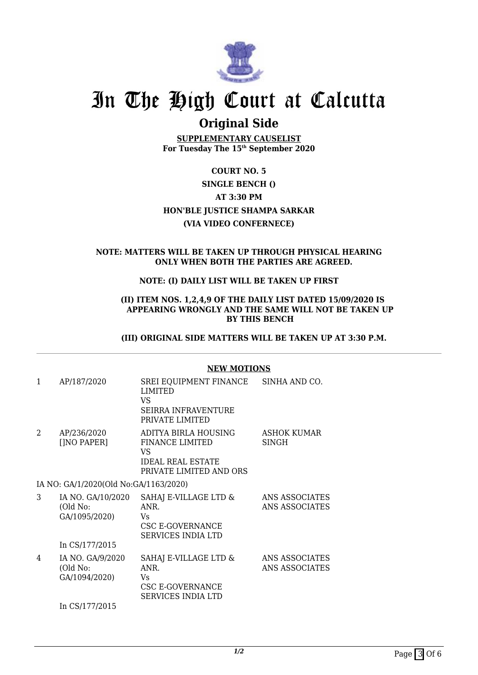

# **Original Side**

**SUPPLEMENTARY CAUSELIST For Tuesday The 15th September 2020**

# **COURT NO. 5**

## **SINGLE BENCH ()**

#### **AT 3:30 PM**

### **HON'BLE JUSTICE SHAMPA SARKAR**

## **(VIA VIDEO CONFERNECE)**

#### **NOTE: MATTERS WILL BE TAKEN UP THROUGH PHYSICAL HEARING ONLY WHEN BOTH THE PARTIES ARE AGREED.**

## **NOTE: (I) DAILY LIST WILL BE TAKEN UP FIRST**

#### **(II) ITEM NOS. 1,2,4,9 OF THE DAILY LIST DATED 15/09/2020 IS APPEARING WRONGLY AND THE SAME WILL NOT BE TAKEN UP BY THIS BENCH**

#### **(III) ORIGINAL SIDE MATTERS WILL BE TAKEN UP AT 3:30 P.M.**

|                |                                                | NEW MUTIONS                                                                                                 |                                  |
|----------------|------------------------------------------------|-------------------------------------------------------------------------------------------------------------|----------------------------------|
| 1              | AP/187/2020                                    | SREI EQUIPMENT FINANCE<br><b>LIMITED</b><br>VS<br><b>SEIRRA INFRAVENTURE</b><br>PRIVATE LIMITED             | SINHA AND CO.                    |
| $\mathfrak{D}$ | AP/236/2020<br>[]NO PAPER]                     | ADITYA BIRLA HOUSING<br><b>FINANCE LIMITED</b><br>VS<br><b>IDEAL REAL ESTATE</b><br>PRIVATE LIMITED AND ORS | ASHOK KUMAR<br>SINGH             |
|                | IA NO: GA/1/2020(Old No:GA/1163/2020)          |                                                                                                             |                                  |
| 3              | IA NO. GA/10/2020<br>(Old No:<br>GA/1095/2020) | SAHAJ E-VILLAGE LTD &<br>ANR.<br>Vs.<br>CSC E-GOVERNANCE<br><b>SERVICES INDIA LTD</b>                       | ANS ASSOCIATES<br>ANS ASSOCIATES |
|                | In CS/177/2015                                 |                                                                                                             |                                  |
| 4              | IA NO. GA/9/2020<br>(Old No:<br>GA/1094/2020)  | SAHAJ E-VILLAGE LTD &<br>ANR.<br>Vs.<br>CSC E-GOVERNANCE<br><b>SERVICES INDIA LTD</b>                       | ANS ASSOCIATES<br>ANS ASSOCIATES |
|                | In CS/177/2015                                 |                                                                                                             |                                  |

## **NEW MOTIONS**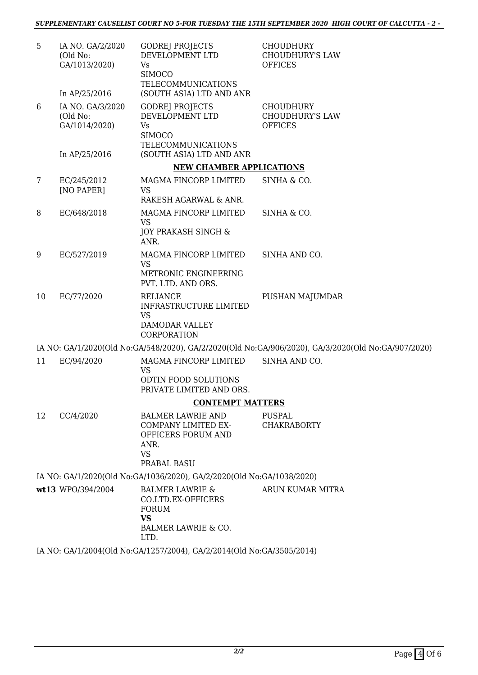| 5  | IA NO. GA/2/2020<br>(Old No:<br>GA/1013/2020) | <b>GODREJ PROJECTS</b><br>DEVELOPMENT LTD<br><b>Vs</b><br><b>SIMOCO</b><br><b>TELECOMMUNICATIONS</b>                    | <b>CHOUDHURY</b><br><b>CHOUDHURY'S LAW</b><br><b>OFFICES</b>                                       |
|----|-----------------------------------------------|-------------------------------------------------------------------------------------------------------------------------|----------------------------------------------------------------------------------------------------|
|    | In AP/25/2016                                 | (SOUTH ASIA) LTD AND ANR                                                                                                |                                                                                                    |
| 6  | IA NO. GA/3/2020<br>(Old No:<br>GA/1014/2020) | <b>GODREJ PROJECTS</b><br>DEVELOPMENT LTD<br>Vs<br><b>SIMOCO</b><br><b>TELECOMMUNICATIONS</b>                           | <b>CHOUDHURY</b><br><b>CHOUDHURY'S LAW</b><br><b>OFFICES</b>                                       |
|    | In AP/25/2016                                 | (SOUTH ASIA) LTD AND ANR                                                                                                |                                                                                                    |
|    |                                               | <b>NEW CHAMBER APPLICATIONS</b>                                                                                         |                                                                                                    |
| 7  | EC/245/2012<br>[NO PAPER]                     | MAGMA FINCORP LIMITED<br><b>VS</b><br>RAKESH AGARWAL & ANR.                                                             | SINHA & CO.                                                                                        |
| 8  | EC/648/2018                                   | MAGMA FINCORP LIMITED<br><b>VS</b>                                                                                      | SINHA & CO.                                                                                        |
|    |                                               | JOY PRAKASH SINGH &<br>ANR.                                                                                             |                                                                                                    |
| 9  | EC/527/2019                                   | MAGMA FINCORP LIMITED<br><b>VS</b>                                                                                      | SINHA AND CO.                                                                                      |
|    |                                               | METRONIC ENGINEERING<br>PVT. LTD. AND ORS.                                                                              |                                                                                                    |
| 10 | EC/77/2020                                    | RELIANCE<br>INFRASTRUCTURE LIMITED<br><b>VS</b><br><b>DAMODAR VALLEY</b><br>CORPORATION                                 | PUSHAN MAJUMDAR                                                                                    |
|    |                                               |                                                                                                                         | IA NO: GA/1/2020(Old No:GA/548/2020), GA/2/2020(Old No:GA/906/2020), GA/3/2020(Old No:GA/907/2020) |
| 11 | EC/94/2020                                    | MAGMA FINCORP LIMITED<br><b>VS</b><br>ODTIN FOOD SOLUTIONS<br>PRIVATE LIMITED AND ORS.                                  | SINHA AND CO.                                                                                      |
|    |                                               | <b>CONTEMPT MATTERS</b>                                                                                                 |                                                                                                    |
| 12 | CC/4/2020                                     | <b>BALMER LAWRIE AND</b>                                                                                                | PUSPAL                                                                                             |
|    |                                               | COMPANY LIMITED EX-<br>OFFICERS FORUM AND<br>ANR.<br><b>VS</b><br>PRABAL BASU                                           | <b>CHAKRABORTY</b>                                                                                 |
|    |                                               | IA NO: GA/1/2020(Old No:GA/1036/2020), GA/2/2020(Old No:GA/1038/2020)                                                   |                                                                                                    |
|    | wt13 WPO/394/2004                             | <b>BALMER LAWRIE &amp;</b><br>CO.LTD.EX-OFFICERS<br><b>FORUM</b><br><b>VS</b><br><b>BALMER LAWRIE &amp; CO.</b><br>LTD. | ARUN KUMAR MITRA                                                                                   |
|    |                                               |                                                                                                                         |                                                                                                    |

IA NO: GA/1/2004(Old No:GA/1257/2004), GA/2/2014(Old No:GA/3505/2014)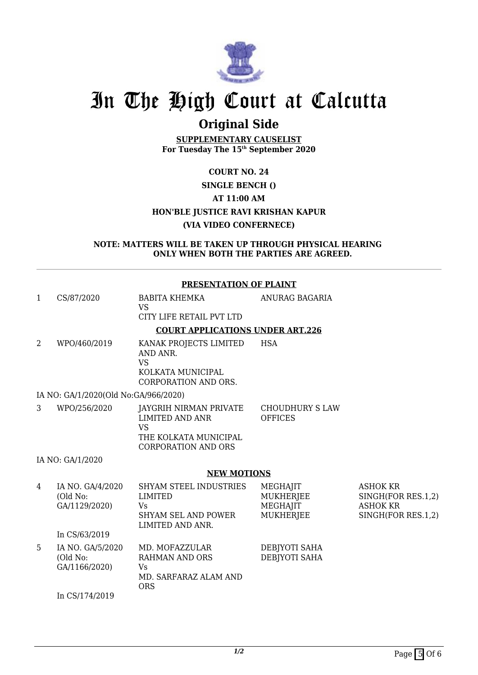

# **Original Side**

**SUPPLEMENTARY CAUSELIST For Tuesday The 15th September 2020**

## **COURT NO. 24 SINGLE BENCH () AT 11:00 AM HON'BLE JUSTICE RAVI KRISHAN KAPUR (VIA VIDEO CONFERNECE)**

**NOTE: MATTERS WILL BE TAKEN UP THROUGH PHYSICAL HEARING ONLY WHEN BOTH THE PARTIES ARE AGREED.**

#### **PRESENTATION OF PLAINT**

| 1<br>CS/87/2020                                    | BABITA KHEMKA<br><b>VS</b><br>CITY LIFE RETAIL PVT LTD                                                               | ANURAG BAGARIA                                 |                                                                                |
|----------------------------------------------------|----------------------------------------------------------------------------------------------------------------------|------------------------------------------------|--------------------------------------------------------------------------------|
|                                                    | <b>COURT APPLICATIONS UNDER ART.226</b>                                                                              |                                                |                                                                                |
| 2<br>WPO/460/2019                                  | KANAK PROJECTS LIMITED<br>AND ANR.<br><b>VS</b><br>KOLKATA MUNICIPAL<br><b>CORPORATION AND ORS.</b>                  | <b>HSA</b>                                     |                                                                                |
| IA NO: GA/1/2020(Old No:GA/966/2020)               |                                                                                                                      |                                                |                                                                                |
| 3<br>WPO/256/2020                                  | JAYGRIH NIRMAN PRIVATE<br><b>LIMITED AND ANR</b><br><b>VS</b><br>THE KOLKATA MUNICIPAL<br><b>CORPORATION AND ORS</b> | CHOUDHURY S LAW<br><b>OFFICES</b>              |                                                                                |
| IA NO: GA/1/2020                                   |                                                                                                                      |                                                |                                                                                |
|                                                    | <b>NEW MOTIONS</b>                                                                                                   |                                                |                                                                                |
| IA NO. GA/4/2020<br>4<br>(Old No:<br>GA/1129/2020) | <b>SHYAM STEEL INDUSTRIES</b><br><b>LIMITED</b><br><b>Vs</b><br><b>SHYAM SEL AND POWER</b><br>LIMITED AND ANR.       | MEGHAJIT<br>MUKHERJEE<br>MEGHAJIT<br>MUKHERJEE | <b>ASHOK KR</b><br>SINGH(FOR RES.1,2)<br><b>ASHOK KR</b><br>SINGH(FOR RES.1,2) |
| In CS/63/2019                                      |                                                                                                                      |                                                |                                                                                |
| 5<br>IA NO. GA/5/2020<br>(Old No:<br>GA/1166/2020) | MD. MOFAZZULAR<br><b>RAHMAN AND ORS</b><br>Vs<br>MD. SARFARAZ ALAM AND<br><b>ORS</b>                                 | DEBJYOTI SAHA<br>DEBJYOTI SAHA                 |                                                                                |

In CS/174/2019